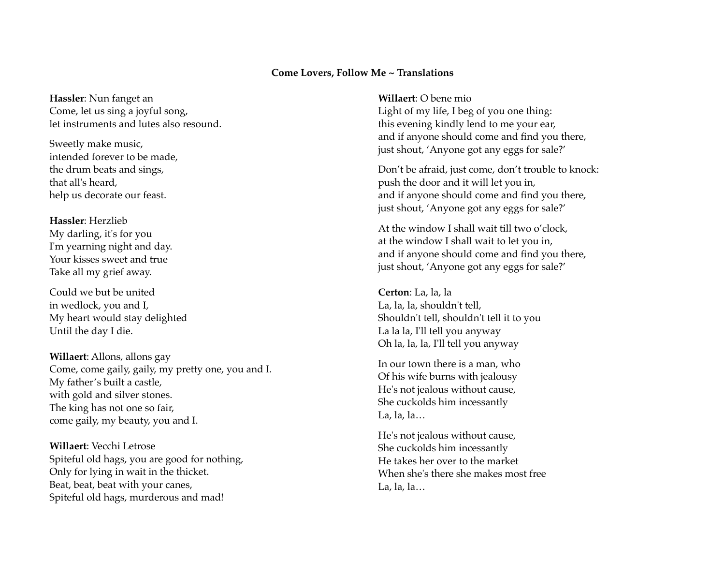## **Come Lovers, Follow Me ~ Translations**

**Hassler**: Nun fanget an Come, let us sing a joyful song, let instruments and lutes also resound.

Sweetly make music, intended forever to be made, the drum beats and sings, that all's heard, help us decorate our feast.

**Hassler**: Herzlieb My darling, it's for you I'm yearning night and day. Your kisses sweet and true Take all my grief away.

Could we but be united in wedlock, you and I, My heart would stay delighted Until the day I die.

**Willaert**: Allons, allons gay Come, come gaily, gaily, my pretty one, you and I. My father's built a castle, with gold and silver stones. The king has not one so fair, come gaily, my beauty, you and I.

**Willaert**: Vecchi Letrose Spiteful old hags, you are good for nothing, Only for lying in wait in the thicket. Beat, beat, beat with your canes, Spiteful old hags, murderous and mad!

**Willaert**: O bene mio Light of my life, I beg of you one thing: this evening kindly lend to me your ear, and if anyone should come and find you there, just shout, 'Anyone got any eggs for sale?'

Don't be afraid, just come, don't trouble to knock: push the door and it will let you in, and if anyone should come and find you there, just shout, 'Anyone got any eggs for sale?'

At the window I shall wait till two o'clock, at the window I shall wait to let you in, and if anyone should come and find you there, just shout, 'Anyone got any eggs for sale?'

**Certon**: La, la, la La, la, la, shouldn't tell, Shouldn't tell, shouldn't tell it to you La la la, I'll tell you anyway Oh la, la, la, I'll tell you anyway

In our town there is a man, who Of his wife burns with jealousy He's not jealous without cause, She cuckolds him incessantly La, la, la $\ldots$ 

He's not jealous without cause, She cuckolds him incessantly He takes her over to the market When she's there she makes most free La, la, la…